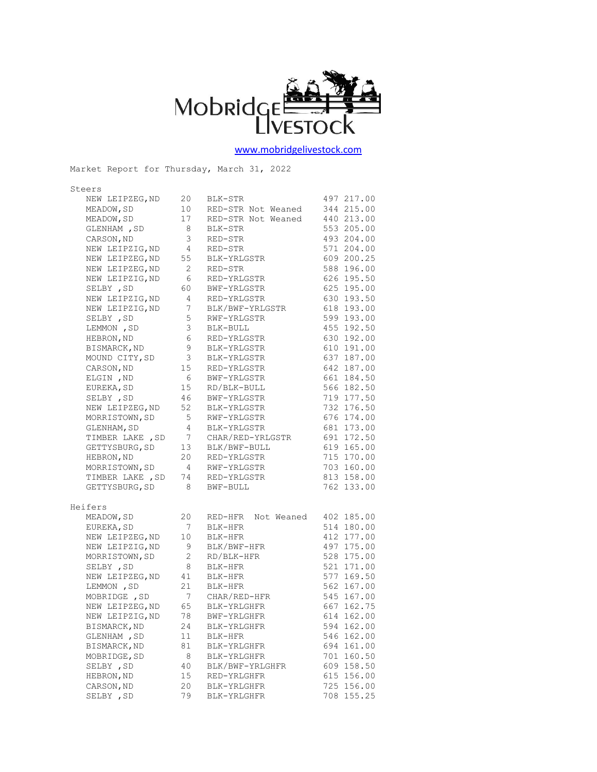

[www.mobridgelivestock.com](http://www.mobridgelivestock.com/)

Market Report for Thursday, March 31, 2022 Steers NEW LEIPZEG, ND 20 BLK-STR 497 217.00 MEADOW, SD 10 RED-STR Not Weaned 344 215.00 MEADOW, SD 17 RED-STR Not Weaned 440 213.00 8 BLK-STR 553 205.00 GLENHAM , SD 8 BLK-STR 553 205.00<br>CARSON, ND 3 RED-STR 493 204.00 NEW LEIPZIG, ND<br>
NEW LEIPZEG, ND<br>
NEW LEIPZEG, ND<br>
NEW LEIPZEG, ND<br>
2 RED-STR<br>
588 196.00 NEW LEIPZEG, ND 55 BLK-YRLGSTR<br>NEW LEIPZEG, ND 2 RED-STR<br>1991 1 2000 200.000 200.000 NEW LEIPZEG, ND 2 RED-STR 588 196.00 NEW LEIPZIG, ND 6 RED-YRLGSTR 626 195.50 SELBY, SD 60 BWF-YRLGSTR 625 195.00 NEW LEIPZIG, ND 4 RED-YRLGSTR 630 193.50 NEW LEIPZIG,ND 7 BLK/BWF-YRLGSTR 618 193.00 SELBY, SD 5 RWF-YRLGSTR 599 193.00 LEMMON, SD 3 BLK-BULL 455 192.50 HEBRON, ND 6 RED-YRLGSTR 630 192.00 BISMARCK, ND 9 BLK-YRLGSTR 610 191.00 MOUND CITY, SD 3 BLK-YRLGSTR 637 187.00 CARSON, ND 15 RED-YRLGSTR 642 187.00 ELGIN, ND 6 BWF-YRLGSTR 661 184.50 EUREKA, SD 15 RD/BLK-BULL 566 182.50 SELBY, SD 46 BWF-YRLGSTR 719 177.50 EUREKA, SD 15 RD/BLK-BULL 566 182.50<br>
SELBY , SD 46 BWF-YRLGSTR 719 177.50<br>
NEW LEIPZEG, ND 52 BLK-YRLGSTR 732 176.50<br>
MORRISTOWN, SD 5 RWF-YRLGSTR 676 174.00 MORRISTOWN,SD 5 RWF-YRLGSTR 676 174.00<br>
GLENHAM,SD 4 BLK-YRLGSTR 681 173.00<br>
TIMBER LAKE ,SD 7 CHAR/RED-YRLGSTR 691 172.50 GLENHAM, SD 4 BLK-YRLGSTR 681 173.00 TIMBER LAKE ,SD 7 CHAR/RED-YRLGSTR 691 172.50 GETTYSBURG, SD 13 BLK/BWF-BULL 619 165.00 HEBRON, ND 20 RED-YRLGSTR 715 170.00 MORRISTOWN, SD 4 RWF-YRLGSTR 703 160.00<br>TIMBER LAKE , SD 74 RED-YRLGSTR 813 158.00 TIMBER LAKE, SD 74 RED-YRLGSTR GETTYSBURG, SD 8 BWF-BULL 762 133.00 Heifers MEADOW, SD 20 RED-HFR Not Weaned 402 185.00 EUREKA,SD 7 BLK-HFR 514 180.00 NEW LEIPZEG, ND 10 BLK-HFR 412 177.00<br>NEW LEIPZIG, ND 9 BLK/BWF-HFR 497 175.00 NEW LEIPZIG, ND 9 BLK/BWF-HFR 497 175.00<br>MORRISTOWN, SD 2 RD/BLK-HFR 528 175.00<br>- 521 171 00 2 RD/BLK-HFR 528 175.00<br>8 BLK-HFR 521 171.00 SELBY, SD 8 BLK-HFR 521 171.00 NEW LEIPZEG, ND 41 BLK-HFR 577 169.50 LEMMON, SD 21 BLK-HFR 562 167.00 MOBRIDGE, SD 7 CHAR/RED-HFR 545 167.00 MOBRIDGE, SD 7 CHAR/RED-HFR 545 167.00<br>NEW LEIPZEG, ND 65 BLK-YRLGHFR 667 162.75<br>NEW LEIPZIG, ND 78 BWF-YRLGHFR 614 162.00 NEW LEIPZIG, ND 78 BWF-YRLGHFR 614 162.00<br>BISMARCK.ND 24 BLK-YRLGHFR 594 162.00 BISMARCK, ND 24 BLK-YRLGHFR 594 162.00 GLENHAM , SD 11 BLK-HFR 546 162.00 BISMARCK, ND 81 BLK-YRLGHFR 694 161.00 MOBRIDGE, SD 8 BLK-YRLGHFR 701 160.50 SELBY, SD 40 BLK/BWF-YRLGHFR 609 158.50 HEBRON, ND 15 RED-YRLGHFR 615 156.00 CARSON, ND 20 BLK-YRLGHFR 725 156.00 SELBY, SD 79 BLK-YRLGHFR 708 155.25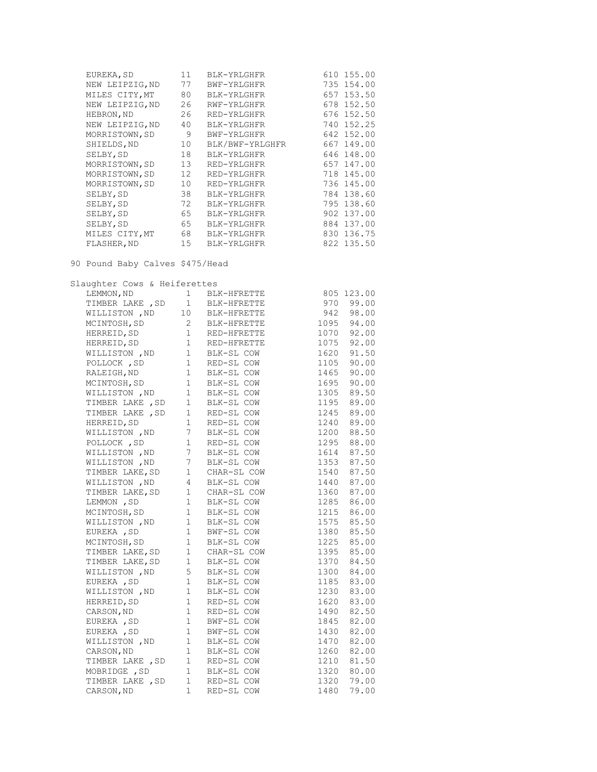| EUREKA, SD      | 11                | BLK-YRLGHFR     | 610 155.00 |
|-----------------|-------------------|-----------------|------------|
| NEW LEIPZIG, ND | 77                | BWF-YRLGHFR     | 735 154.00 |
| MILES CITY, MT  | 80                | BLK-YRLGHFR     | 657 153.50 |
| NEW LEIPZIG, ND | 26                | RWF-YRLGHFR     | 678 152.50 |
| HEBRON, ND      | 26                | RED-YRLGHFR     | 676 152.50 |
| NEW LEIPZIG, ND | 40                | BLK-YRLGHFR     | 740 152.25 |
| MORRISTOWN, SD  | 9                 | BWF-YRLGHFR     | 642 152.00 |
| SHIELDS, ND     | 10                | BLK/BWF-YRLGHFR | 667 149.00 |
| SELBY, SD       | 18                | BLK-YRLGHFR     | 646 148.00 |
| MORRISTOWN, SD  | 13                | RED-YRLGHFR     | 657 147.00 |
| MORRISTOWN, SD  | $12 \overline{ }$ | RED-YRLGHFR     | 718 145.00 |
| MORRISTOWN, SD  | 10                | RED-YRLGHFR     | 736 145.00 |
| SELBY, SD       | 38                | BLK-YRLGHFR     | 784 138.60 |
| SELBY, SD       | 72                | BLK-YRLGHFR     | 795 138.60 |
| SELBY, SD       | 65                | BLK-YRLGHFR     | 902 137.00 |
| SELBY, SD       | 65                | BLK-YRLGHFR     | 884 137.00 |
| MILES CITY, MT  | 68                | BLK-YRLGHFR     | 830 136.75 |
| FLASHER, ND     | 15                | BLK-YRLGHFR     | 822 135.50 |

90 Pound Baby Calves \$475/Head

Slaughter Cows & Heiferettes

|  | WILLISTON, ND 10 BLK-HFRETTE 942 98.00                                                                                                                                                                                                   |              |
|--|------------------------------------------------------------------------------------------------------------------------------------------------------------------------------------------------------------------------------------------|--------------|
|  | MCINTOSH, SD 2 BLK-HFRETTE 1095 94.00                                                                                                                                                                                                    |              |
|  | MCINTOSH, SD 2 BLA-HFRETTE 1095 94.00<br>HERREID, SD 1 RED-HFRETTE 1070 92.00<br>MILLISTON ,ND 1 BLK-SL COW 1620 91.50<br>POLLOCK , SD 1 RED-SL COW 1105 90.00<br>RALEIGH, ND 1 BLK-SL COW 1105 90.00<br>MCINTOSH, SD 1 BLK-SL COW 1665  |              |
|  |                                                                                                                                                                                                                                          |              |
|  |                                                                                                                                                                                                                                          |              |
|  |                                                                                                                                                                                                                                          |              |
|  |                                                                                                                                                                                                                                          |              |
|  |                                                                                                                                                                                                                                          |              |
|  |                                                                                                                                                                                                                                          |              |
|  |                                                                                                                                                                                                                                          | $1195$ 89.00 |
|  |                                                                                                                                                                                                                                          |              |
|  |                                                                                                                                                                                                                                          |              |
|  |                                                                                                                                                                                                                                          |              |
|  |                                                                                                                                                                                                                                          |              |
|  |                                                                                                                                                                                                                                          |              |
|  |                                                                                                                                                                                                                                          |              |
|  | WILLISTON , ND 1 BLK-SL COW 1305 89.50<br>TIMBER LAKE , SD 1 RED-SL COW 1245 89.00<br>HERREID, SD 1 RED-SL COW 1245 89.00<br>HERREID, SD 1 RED-SL COW 1240 89.00<br>WILLISTON , ND 7 BLK-SL COW 1295 88.00<br>WILLISTON , ND 7 BLK-SL CO |              |
|  |                                                                                                                                                                                                                                          |              |
|  | TIMBER LAKE, SD 1 CHAR-SL COW 1360 87.00                                                                                                                                                                                                 |              |
|  | 1 BLK-SL COW 1285 86.00<br>MCINTOSH, SD 1 BLK-SL COW 1215 86.00<br>MCINTOSH, SD 1 BLK-SL COW 1215 86.00<br>MULLISTON , ND 1 BLK-SL COW 1575 85.50<br>EUREKA , SD 1 BWF-SL COW 1380 85.50<br>MCINTOSH, SD 1 BLK-SL COW 1225 85.00         |              |
|  |                                                                                                                                                                                                                                          |              |
|  |                                                                                                                                                                                                                                          |              |
|  |                                                                                                                                                                                                                                          |              |
|  |                                                                                                                                                                                                                                          | $1225$ 85.00 |
|  | TIMBER LAKE, SD 1 CHAR-SL COW 1395 85.00                                                                                                                                                                                                 |              |
|  | TIMBER LAKE, SD 1 BLK-SL COW                                                                                                                                                                                                             | 1370 84.50   |
|  | WILLISTON, ND 5 BLK-SL COW 1300 84.00                                                                                                                                                                                                    |              |
|  |                                                                                                                                                                                                                                          |              |
|  |                                                                                                                                                                                                                                          |              |
|  |                                                                                                                                                                                                                                          |              |
|  |                                                                                                                                                                                                                                          |              |
|  |                                                                                                                                                                                                                                          |              |
|  |                                                                                                                                                                                                                                          |              |
|  |                                                                                                                                                                                                                                          |              |
|  |                                                                                                                                                                                                                                          |              |
|  |                                                                                                                                                                                                                                          |              |
|  | EUREKA, SD 1 BWF-SL COW 1845 82.00<br>EUREKA, SD 1 BWF-SL COW 1430 82.00<br>WILLISTON, ND 1 BLK-SL COW 1470 82.00<br>CARSON, ND 1 BLK-SL COW 1260 82.00<br>TIMBER LAKE, SD 1 RED-SL COW 1210 81.50<br>MOBRIDGE, SD 1 RED-SL COW 1210 81. |              |
|  | TIMBER LAKE , SD    1    RED-SL COW    1320    79.00<br>CARSON, ND    1    RED-SL COW    1480    79.00                                                                                                                                   |              |
|  |                                                                                                                                                                                                                                          |              |